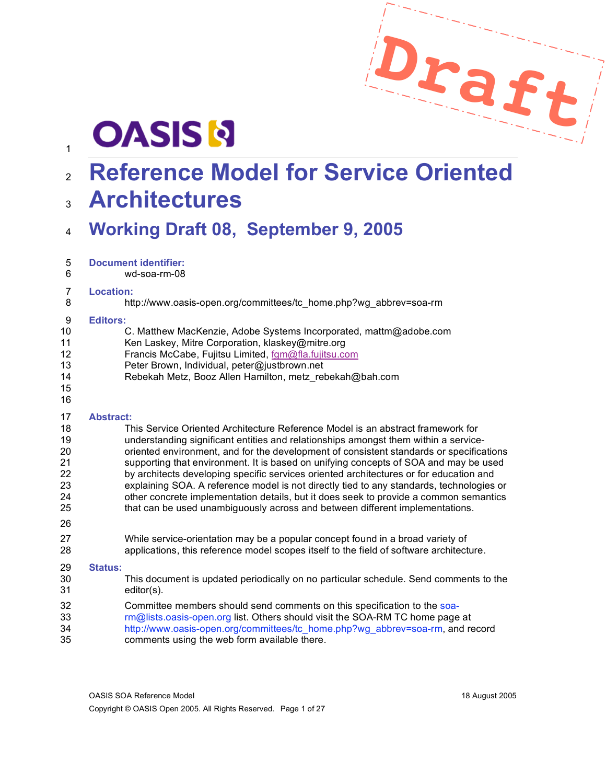

# **OASIS N**

# **Reference Model for Service Oriented**

# **Architectures**

# **Working Draft 08, September 9, 2005**

| 5 | <b>Document identifier:</b> |  |
|---|-----------------------------|--|
|   |                             |  |

wd-soa-rm-08

#### **Location:**

http://www.oasis-open.org/committees/tc\_home.php?wg\_abbrev=soa-rm

#### **Editors:**

| - 2    | Luitura.                                                          |  |  |
|--------|-------------------------------------------------------------------|--|--|
| 10     | C. Matthew MacKenzie, Adobe Systems Incorporated, mattm@adobe.com |  |  |
| 11     | Ken Laskey, Mitre Corporation, klaskey@mitre.org                  |  |  |
| 12     | Francis McCabe, Fujitsu Limited, fam@fla.fujitsu.com              |  |  |
| 13     | Peter Brown, Individual, peter@justbrown.net                      |  |  |
| 14     | Rebekah Metz, Booz Allen Hamilton, metz rebekah@bah.com           |  |  |
| 15     |                                                                   |  |  |
| 16     |                                                                   |  |  |
| 17     | <b>Abstract:</b>                                                  |  |  |
| $\sim$ |                                                                   |  |  |

- This Service Oriented Architecture Reference Model is an abstract framework for understanding significant entities and relationships amongst them within a service- oriented environment, and for the development of consistent standards or specifications supporting that environment. It is based on unifying concepts of SOA and may be used by architects developing specific services oriented architectures or for education and explaining SOA. A reference model is not directly tied to any standards, technologies or other concrete implementation details, but it does seek to provide a common semantics that can be used unambiguously across and between different implementations.
- While service-orientation may be a popular concept found in a broad variety of applications, this reference model scopes itself to the field of software architecture.

#### **Status:**

- This document is updated periodically on no particular schedule. Send comments to the editor(s).
- Committee members should send comments on this specification to the soa-33 rm@lists.oasis-open.org list. Others should visit the SOA-RM TC home page at http://www.oasis-open.org/committees/tc\_home.php?wg\_abbrev=soa-rm, and record comments using the web form available there.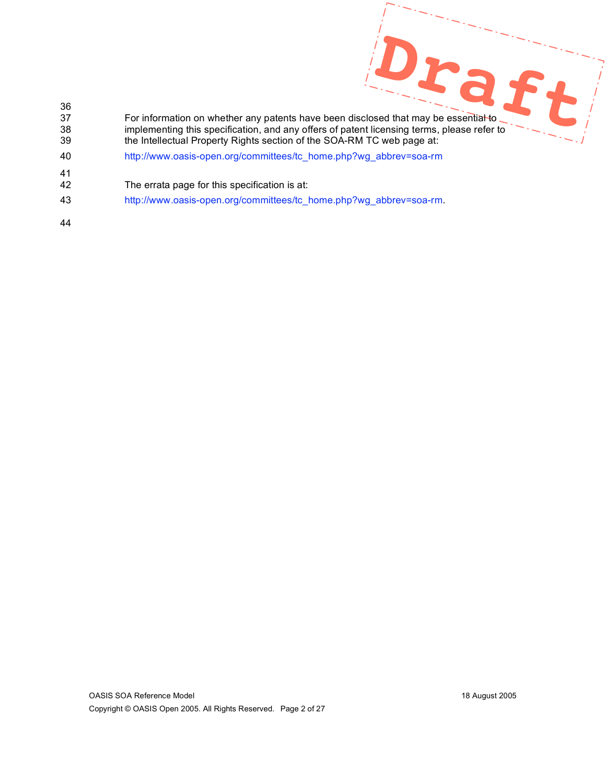- aft 36 37 For information on whether any patents have been disclosed that may be essential to 38 implementing this specification, and any offers of patent licensing terms, please refer to<br>39 the Intellectual Property Rights section of the SOA-RM TC web page at: the Intellectual Property Rights section of the SOA-RM TC web page at: 40 http://www.oasis-open.org/committees/tc\_home.php?wg\_abbrev=soa-rm 41 42 The errata page for this specification is at: 43 http://www.oasis-open.org/committees/tc\_home.php?wg\_abbrev=soa-rm.
- 44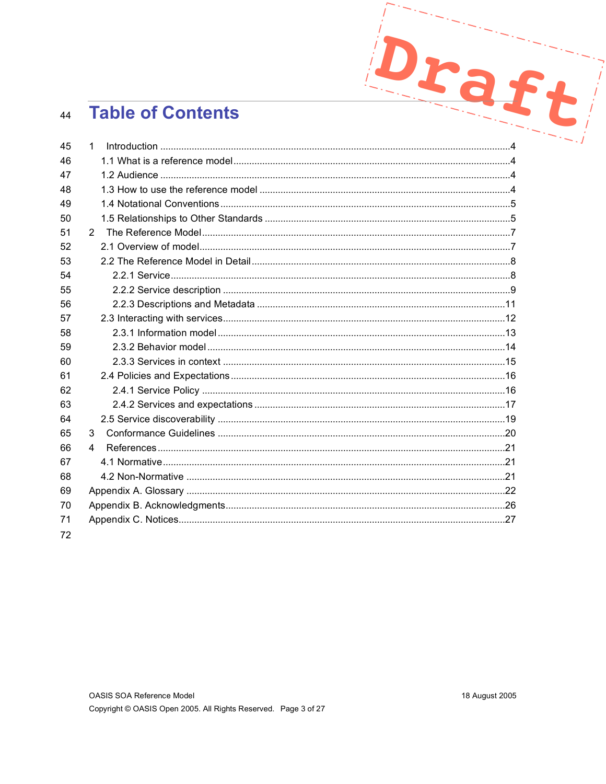#### **Table of Contents** 44

| 44 | <b>Table of Contents</b> |  |  |
|----|--------------------------|--|--|
| 45 | $\mathbf 1$              |  |  |
| 46 |                          |  |  |
| 47 |                          |  |  |
| 48 |                          |  |  |
| 49 |                          |  |  |
| 50 |                          |  |  |
| 51 | $2^{\circ}$              |  |  |
| 52 |                          |  |  |
| 53 |                          |  |  |
| 54 |                          |  |  |
| 55 |                          |  |  |
| 56 |                          |  |  |
| 57 |                          |  |  |
| 58 |                          |  |  |
| 59 |                          |  |  |
| 60 |                          |  |  |
| 61 |                          |  |  |
| 62 |                          |  |  |
| 63 |                          |  |  |
| 64 |                          |  |  |
| 65 | 3                        |  |  |
| 66 | 4                        |  |  |
| 67 |                          |  |  |
| 68 |                          |  |  |
| 69 |                          |  |  |
| 70 |                          |  |  |
| 71 |                          |  |  |
| 72 |                          |  |  |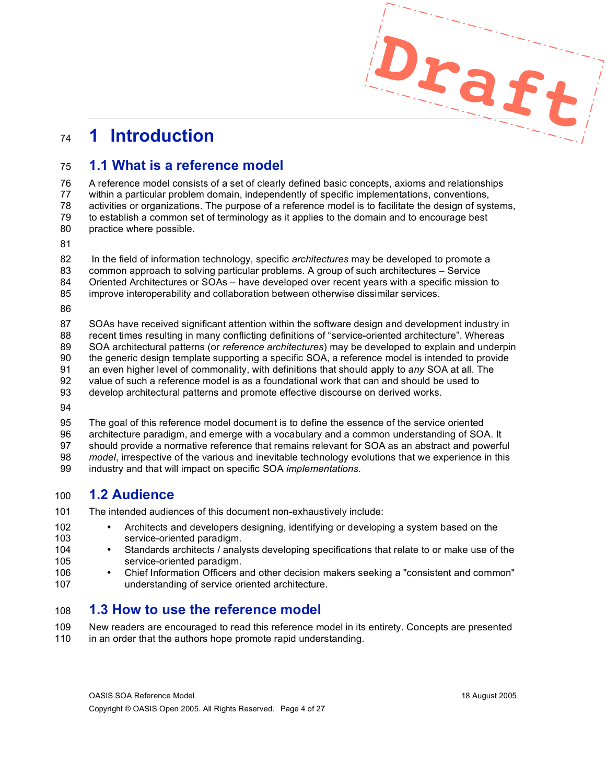# **1 Introduction**

## **1.1 What is a reference model**

 A reference model consists of a set of clearly defined basic concepts, axioms and relationships within a particular problem domain, independently of specific implementations, conventions, activities or organizations. The purpose of a reference model is to facilitate the design of systems, to establish a common set of terminology as it applies to the domain and to encourage best practice where possible.

In the field of information technology, specific *architectures* may be developed to promote a

- common approach to solving particular problems. A group of such architectures Service
- Oriented Architectures or SOAs have developed over recent years with a specific mission to
- improve interoperability and collaboration between otherwise dissimilar services.
- 

 SOAs have received significant attention within the software design and development industry in recent times resulting in many conflicting definitions of "service-oriented architecture". Whereas SOA architectural patterns (or *reference architectures*) may be developed to explain and underpin the generic design template supporting a specific SOA, a reference model is intended to provide an even higher level of commonality, with definitions that should apply to *any* SOA at all. The value of such a reference model is as a foundational work that can and should be used to develop architectural patterns and promote effective discourse on derived works.

 The goal of this reference model document is to define the essence of the service oriented architecture paradigm, and emerge with a vocabulary and a common understanding of SOA. It should provide a normative reference that remains relevant for SOA as an abstract and powerful *model*, irrespective of the various and inevitable technology evolutions that we experience in this industry and that will impact on specific SOA *implementations*.

# **1.2 Audience**

The intended audiences of this document non-exhaustively include:

- 102 Architects and developers designing, identifying or developing a system based on the 103 service-oriented paradigm.
- 104 Standards architects / analysts developing specifications that relate to or make use of the 105 service-oriented paradigm.
- 106 Chief Information Officers and other decision makers seeking a "consistent and common"<br>107  **Information of service oriented architecture**. understanding of service oriented architecture.

# **1.3 How to use the reference model**

 New readers are encouraged to read this reference model in its entirety. Concepts are presented 110 in an order that the authors hope promote rapid understanding.

**Draft**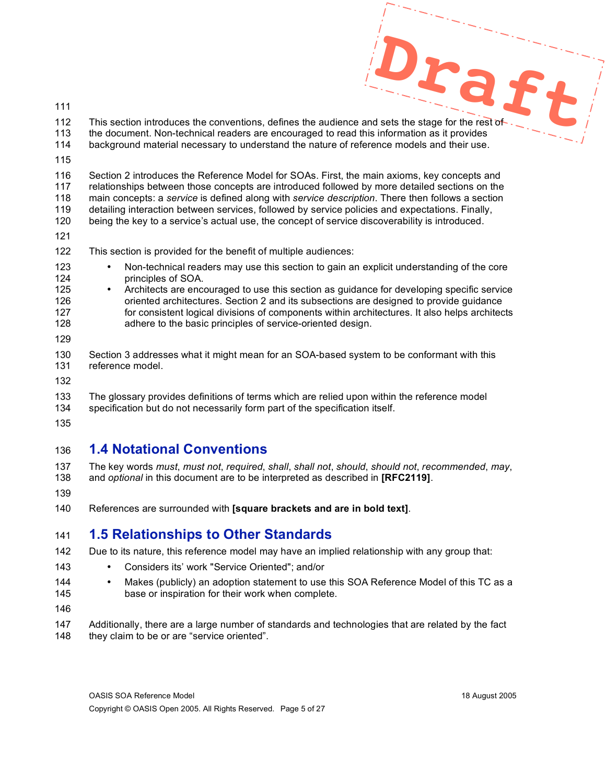- 
- **Draft** 112 This section introduces the conventions, defines the audience and sets the stage for the rest of the document. Non-technical readers are encouraged to read this information as it provides background material necessary to understand the nature of reference models and their use.
- 

 Section 2 introduces the Reference Model for SOAs. First, the main axioms, key concepts and relationships between those concepts are introduced followed by more detailed sections on the main concepts: a *service* is defined along with *service description*. There then follows a section detailing interaction between services, followed by service policies and expectations. Finally,

being the key to a service's actual use, the concept of service discoverability is introduced.

- 
- This section is provided for the benefit of multiple audiences:
- 123 Non-technical readers may use this section to gain an explicit understanding of the core<br>124 **•** principles of SOA. principles of SOA.
- Architects are encouraged to use this section as guidance for developing specific service oriented architectures. Section 2 and its subsections are designed to provide guidance 127 for consistent logical divisions of components within architectures. It also helps architects adhere to the basic principles of service-oriented design.
- 
- Section 3 addresses what it might mean for an SOA-based system to be conformant with this reference model.
- 
- The glossary provides definitions of terms which are relied upon within the reference model specification but do not necessarily form part of the specification itself.
- 

# **1.4 Notational Conventions**

- The key words *must*, *must not*, *required*, *shall*, *shall not*, *should*, *should not*, *recommended*, *may*, and *optional* in this document are to be interpreted as described in **[RFC2119]**.
- 
- References are surrounded with **[square brackets and are in bold text]**.

# **1.5 Relationships to Other Standards**

- Due to its nature, this reference model may have an implied relationship with any group that:
- Considers its' work "Service Oriented"; and/or
- 144 Makes (publicly) an adoption statement to use this SOA Reference Model of this TC as a<br>145 base or inspiration for their work when complete. base or inspiration for their work when complete.
- 
- Additionally, there are a large number of standards and technologies that are related by the fact 148 they claim to be or are "service oriented".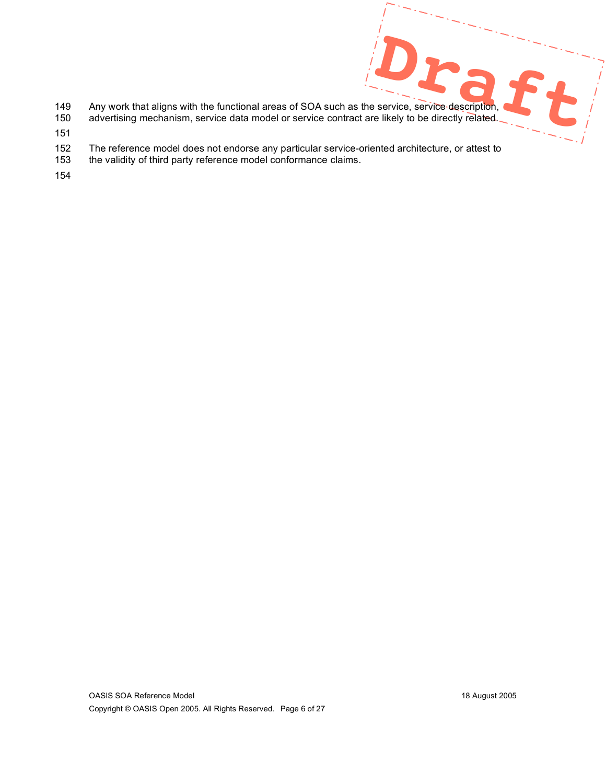- 149 Any work that aligns with the functional areas of SOA such as the service, service description,
- 150 advertising mechanism, service data model or service contract are likely to be directly related.
- 151
- 152 The reference model does not endorse any particular service-oriented architecture, or attest to
- 153 the validity of third party reference model conformance claims.
- 154

 $St$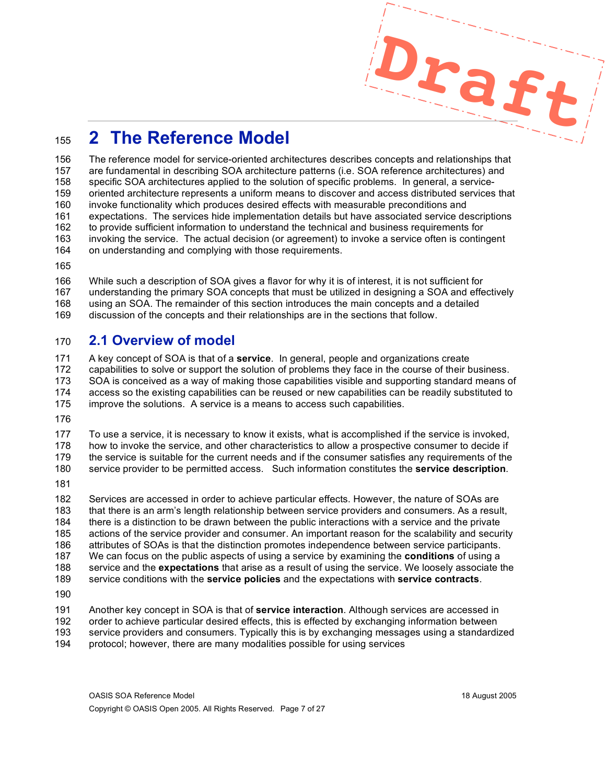# **2 The Reference Model**

 The reference model for service-oriented architectures describes concepts and relationships that are fundamental in describing SOA architecture patterns (i.e. SOA reference architectures) and specific SOA architectures applied to the solution of specific problems. In general, a service- oriented architecture represents a uniform means to discover and access distributed services that invoke functionality which produces desired effects with measurable preconditions and expectations. The services hide implementation details but have associated service descriptions to provide sufficient information to understand the technical and business requirements for invoking the service. The actual decision (or agreement) to invoke a service often is contingent on understanding and complying with those requirements.

 While such a description of SOA gives a flavor for why it is of interest, it is not sufficient for understanding the primary SOA concepts that must be utilized in designing a SOA and effectively using an SOA. The remainder of this section introduces the main concepts and a detailed discussion of the concepts and their relationships are in the sections that follow.

## **2.1 Overview of model**

 A key concept of SOA is that of a **service**. In general, people and organizations create capabilities to solve or support the solution of problems they face in the course of their business. SOA is conceived as a way of making those capabilities visible and supporting standard means of access so the existing capabilities can be reused or new capabilities can be readily substituted to

improve the solutions. A service is a means to access such capabilities.

 To use a service, it is necessary to know it exists, what is accomplished if the service is invoked, how to invoke the service, and other characteristics to allow a prospective consumer to decide if the service is suitable for the current needs and if the consumer satisfies any requirements of the

service provider to be permitted access. Such information constitutes the **service description**.

 Services are accessed in order to achieve particular effects. However, the nature of SOAs are that there is an arm's length relationship between service providers and consumers. As a result, there is a distinction to be drawn between the public interactions with a service and the private actions of the service provider and consumer. An important reason for the scalability and security attributes of SOAs is that the distinction promotes independence between service participants. We can focus on the public aspects of using a service by examining the **conditions** of using a service and the **expectations** that arise as a result of using the service. We loosely associate the service conditions with the **service policies** and the expectations with **service contracts**. 

 Another key concept in SOA is that of **service interaction**. Although services are accessed in order to achieve particular desired effects, this is effected by exchanging information between service providers and consumers. Typically this is by exchanging messages using a standardized protocol; however, there are many modalities possible for using services

**Draft**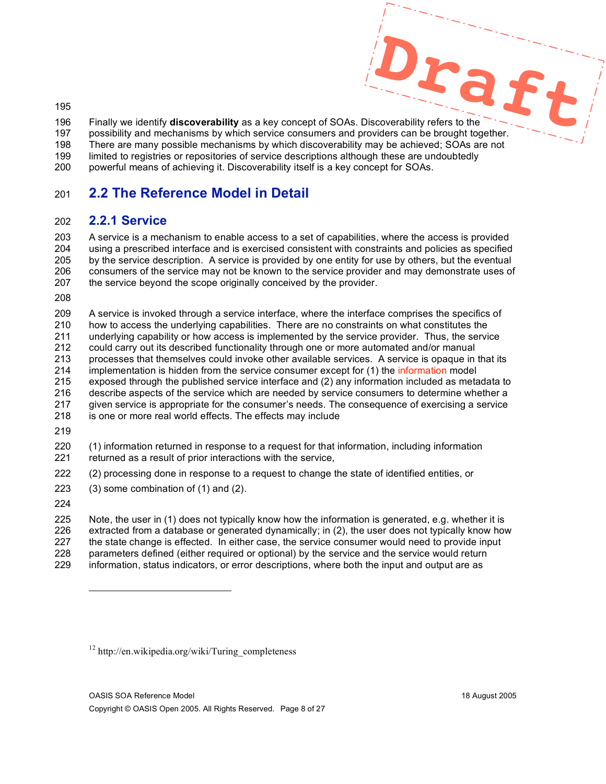**Draft** Finally we identify **discoverability** as a key concept of SOAs. Discoverability refers to the possibility and mechanisms by which service consumers and providers can be brought together.

 There are many possible mechanisms by which discoverability may be achieved; SOAs are not limited to registries or repositories of service descriptions although these are undoubtedly

powerful means of achieving it. Discoverability itself is a key concept for SOAs.

# **2.2 The Reference Model in Detail**

# **2.2.1 Service**

 A service is a mechanism to enable access to a set of capabilities, where the access is provided using a prescribed interface and is exercised consistent with constraints and policies as specified by the service description. A service is provided by one entity for use by others, but the eventual consumers of the service may not be known to the service provider and may demonstrate uses of 207 the service beyond the scope originally conceived by the provider.

 A service is invoked through a service interface, where the interface comprises the specifics of how to access the underlying capabilities. There are no constraints on what constitutes the underlying capability or how access is implemented by the service provider. Thus, the service could carry out its described functionality through one or more automated and/or manual processes that themselves could invoke other available services. A service is opaque in that its 214 implementation is hidden from the service consumer except for (1) the information model exposed through the published service interface and (2) any information included as metadata to describe aspects of the service which are needed by service consumers to determine whether a given service is appropriate for the consumer's needs. The consequence of exercising a service

- is one or more real world effects. The effects may include
- 

 (1) information returned in response to a request for that information, including information returned as a result of prior interactions with the service,

(2) processing done in response to a request to change the state of identified entities, or

(3) some combination of (1) and (2).

l

 Note, the user in (1) does not typically know how the information is generated, e.g. whether it is extracted from a database or generated dynamically; in (2), the user does not typically know how the state change is effected. In either case, the service consumer would need to provide input parameters defined (either required or optional) by the service and the service would return information, status indicators, or error descriptions, where both the input and output are as

http://en.wikipedia.org/wiki/Turing\_completeness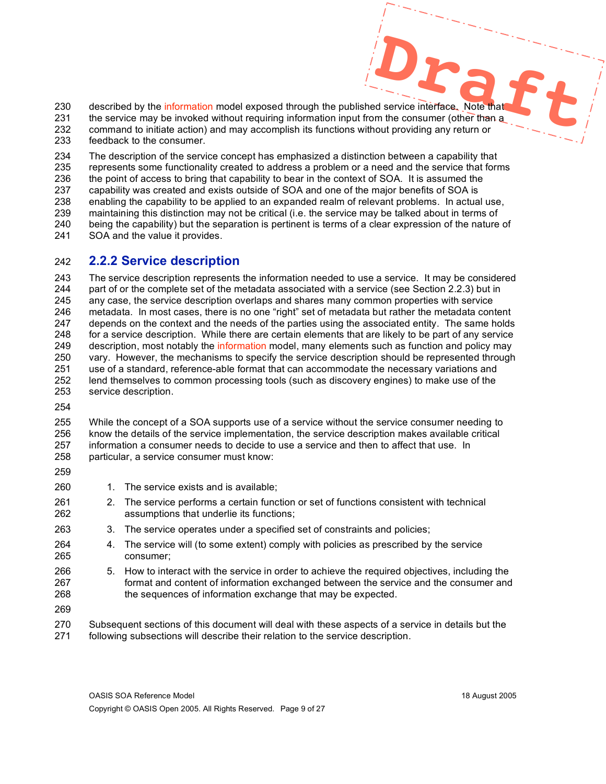**Designed Service interface.** Note that 230 described by the information model exposed through the published service interface. Note that 231 the service may be invoked without requiring information input from the consumer (other than a command to initiate action) and may accomplish its functions without providing any return or feedback to the consumer.

 The description of the service concept has emphasized a distinction between a capability that represents some functionality created to address a problem or a need and the service that forms the point of access to bring that capability to bear in the context of SOA. It is assumed the capability was created and exists outside of SOA and one of the major benefits of SOA is enabling the capability to be applied to an expanded realm of relevant problems. In actual use, maintaining this distinction may not be critical (i.e. the service may be talked about in terms of being the capability) but the separation is pertinent is terms of a clear expression of the nature of SOA and the value it provides.

#### **2.2.2 Service description**

 The service description represents the information needed to use a service. It may be considered part of or the complete set of the metadata associated with a service (see Section 2.2.3) but in any case, the service description overlaps and shares many common properties with service metadata. In most cases, there is no one "right" set of metadata but rather the metadata content depends on the context and the needs of the parties using the associated entity. The same holds for a service description. While there are certain elements that are likely to be part of any service 249 description, most notably the information model, many elements such as function and policy may vary. However, the mechanisms to specify the service description should be represented through use of a standard, reference-able format that can accommodate the necessary variations and lend themselves to common processing tools (such as discovery engines) to make use of the service description.

 While the concept of a SOA supports use of a service without the service consumer needing to know the details of the service implementation, the service description makes available critical information a consumer needs to decide to use a service and then to affect that use. In particular, a service consumer must know:

- 
- 260 1. The service exists and is available;
- 2. The service performs a certain function or set of functions consistent with technical assumptions that underlie its functions;
- 3. The service operates under a specified set of constraints and policies;
- 4. The service will (to some extent) comply with policies as prescribed by the service consumer;
- 5. How to interact with the service in order to achieve the required objectives, including the format and content of information exchanged between the service and the consumer and the sequences of information exchange that may be expected.
- 
- Subsequent sections of this document will deal with these aspects of a service in details but the following subsections will describe their relation to the service description.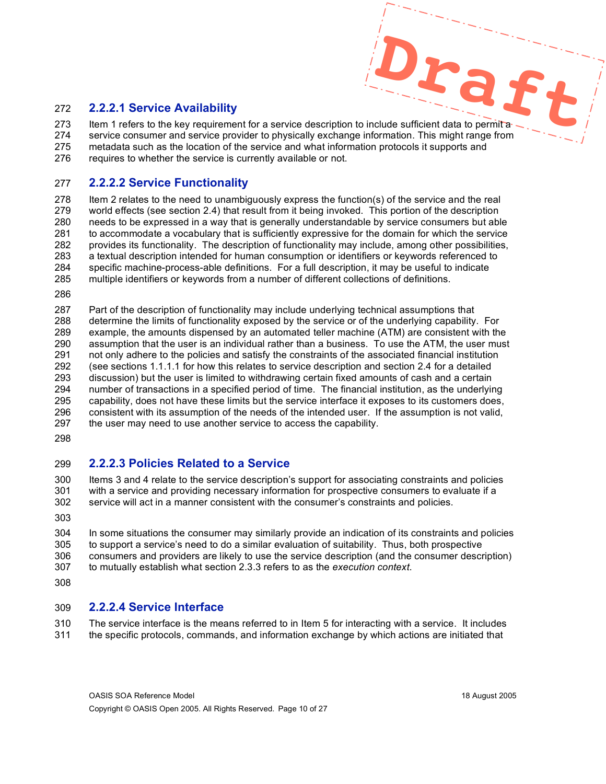#### **2.2.2.1 Service Availability**

**Draft** 273 Item 1 refers to the key requirement for a service description to include sufficient data to permit a service consumer and service provider to physically exchange information. This might range from metadata such as the location of the service and what information protocols it supports and 276 requires to whether the service is currently available or not.

#### **2.2.2.2 Service Functionality**

 Item 2 relates to the need to unambiguously express the function(s) of the service and the real world effects (see section 2.4) that result from it being invoked. This portion of the description needs to be expressed in a way that is generally understandable by service consumers but able to accommodate a vocabulary that is sufficiently expressive for the domain for which the service provides its functionality. The description of functionality may include, among other possibilities, a textual description intended for human consumption or identifiers or keywords referenced to specific machine-process-able definitions. For a full description, it may be useful to indicate multiple identifiers or keywords from a number of different collections of definitions.

 Part of the description of functionality may include underlying technical assumptions that determine the limits of functionality exposed by the service or of the underlying capability. For example, the amounts dispensed by an automated teller machine (ATM) are consistent with the assumption that the user is an individual rather than a business. To use the ATM, the user must not only adhere to the policies and satisfy the constraints of the associated financial institution (see sections 1.1.1.1 for how this relates to service description and section 2.4 for a detailed discussion) but the user is limited to withdrawing certain fixed amounts of cash and a certain number of transactions in a specified period of time. The financial institution, as the underlying capability, does not have these limits but the service interface it exposes to its customers does, consistent with its assumption of the needs of the intended user. If the assumption is not valid, 297 the user may need to use another service to access the capability.

#### **2.2.2.3 Policies Related to a Service**

 Items 3 and 4 relate to the service description's support for associating constraints and policies with a service and providing necessary information for prospective consumers to evaluate if a service will act in a manner consistent with the consumer's constraints and policies.

 In some situations the consumer may similarly provide an indication of its constraints and policies to support a service's need to do a similar evaluation of suitability. Thus, both prospective consumers and providers are likely to use the service description (and the consumer description) to mutually establish what section 2.3.3 refers to as the *execution context*.

#### **2.2.2.4 Service Interface**

 The service interface is the means referred to in Item 5 for interacting with a service. It includes the specific protocols, commands, and information exchange by which actions are initiated that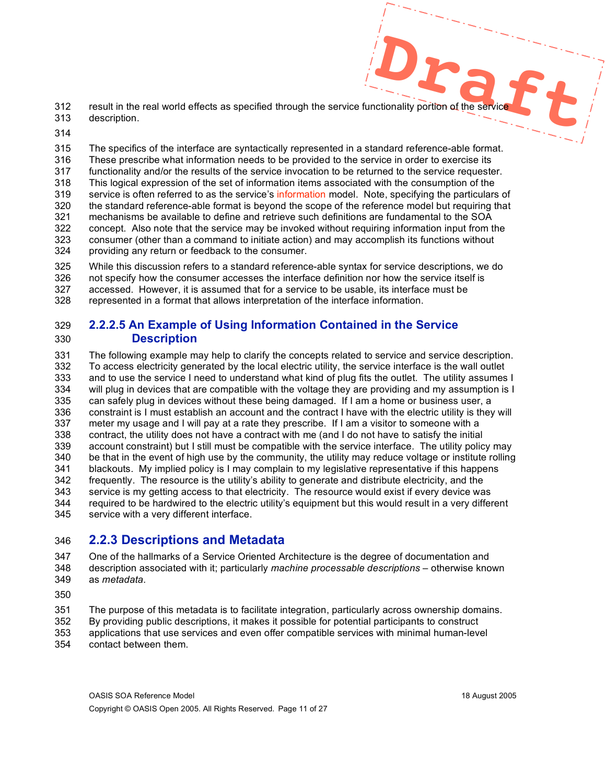- **Draft** result in the real world effects as specified through the service functionality portion of the service description.
- 

 The specifics of the interface are syntactically represented in a standard reference-able format. These prescribe what information needs to be provided to the service in order to exercise its functionality and/or the results of the service invocation to be returned to the service requester. This logical expression of the set of information items associated with the consumption of the 319 service is often referred to as the service's information model. Note, specifying the particulars of the standard reference-able format is beyond the scope of the reference model but requiring that mechanisms be available to define and retrieve such definitions are fundamental to the SOA 322 concept. Also note that the service may be invoked without requiring information input from the 323 consumer (other than a command to initiate action) and may accomplish its functions without consumer (other than a command to initiate action) and may accomplish its functions without providing any return or feedback to the consumer.

 While this discussion refers to a standard reference-able syntax for service descriptions, we do not specify how the consumer accesses the interface definition nor how the service itself is accessed. However, it is assumed that for a service to be usable, its interface must be represented in a format that allows interpretation of the interface information.

#### **2.2.2.5 An Example of Using Information Contained in the Service Description**

 The following example may help to clarify the concepts related to service and service description. To access electricity generated by the local electric utility, the service interface is the wall outlet and to use the service I need to understand what kind of plug fits the outlet. The utility assumes I will plug in devices that are compatible with the voltage they are providing and my assumption is I can safely plug in devices without these being damaged. If I am a home or business user, a constraint is I must establish an account and the contract I have with the electric utility is they will meter my usage and I will pay at a rate they prescribe. If I am a visitor to someone with a contract, the utility does not have a contract with me (and I do not have to satisfy the initial account constraint) but I still must be compatible with the service interface. The utility policy may be that in the event of high use by the community, the utility may reduce voltage or institute rolling blackouts. My implied policy is I may complain to my legislative representative if this happens frequently. The resource is the utility's ability to generate and distribute electricity, and the service is my getting access to that electricity. The resource would exist if every device was required to be hardwired to the electric utility's equipment but this would result in a very different service with a very different interface.

## **2.2.3 Descriptions and Metadata**

 One of the hallmarks of a Service Oriented Architecture is the degree of documentation and description associated with it; particularly *machine processable descriptions* – otherwise known as *metadata.*

The purpose of this metadata is to facilitate integration, particularly across ownership domains.

- By providing public descriptions, it makes it possible for potential participants to construct applications that use services and even offer compatible services with minimal human-level
- contact between them.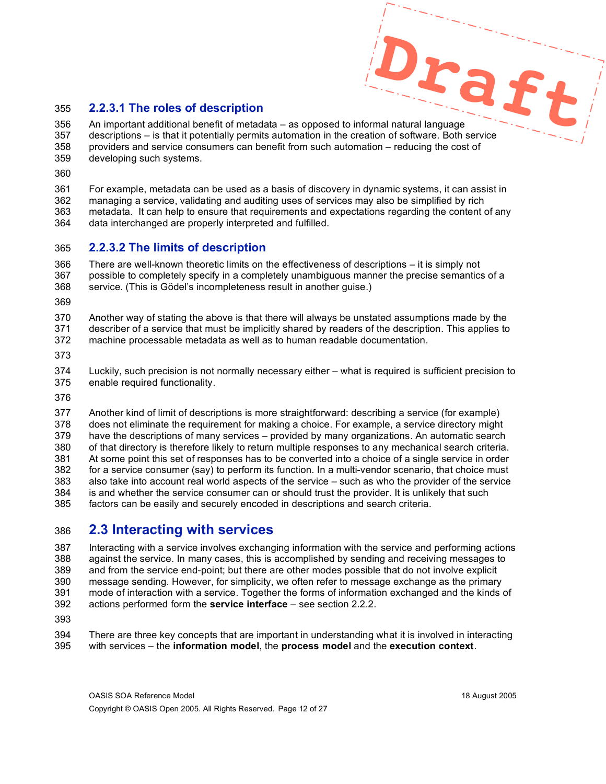#### **2.2.3.1 The roles of description**

**Draft** An important additional benefit of metadata – as opposed to informal natural language descriptions – is that it potentially permits automation in the creation of software. Both service providers and service consumers can benefit from such automation – reducing the cost of developing such systems.

For example, metadata can be used as a basis of discovery in dynamic systems, it can assist in

 managing a service, validating and auditing uses of services may also be simplified by rich metadata. It can help to ensure that requirements and expectations regarding the content of any data interchanged are properly interpreted and fulfilled.

#### **2.2.3.2 The limits of description**

 There are well-known theoretic limits on the effectiveness of descriptions – it is simply not possible to completely specify in a completely unambiguous manner the precise semantics of a service. (This is Gödel's incompleteness result in another guise.)

 Another way of stating the above is that there will always be unstated assumptions made by the describer of a service that must be implicitly shared by readers of the description. This applies to machine processable metadata as well as to human readable documentation.

 Luckily, such precision is not normally necessary either – what is required is sufficient precision to enable required functionality.

 Another kind of limit of descriptions is more straightforward: describing a service (for example) does not eliminate the requirement for making a choice. For example, a service directory might have the descriptions of many services – provided by many organizations. An automatic search of that directory is therefore likely to return multiple responses to any mechanical search criteria. At some point this set of responses has to be converted into a choice of a single service in order for a service consumer (say) to perform its function. In a multi-vendor scenario, that choice must also take into account real world aspects of the service – such as who the provider of the service is and whether the service consumer can or should trust the provider. It is unlikely that such factors can be easily and securely encoded in descriptions and search criteria.

# **2.3 Interacting with services**

 Interacting with a service involves exchanging information with the service and performing actions against the service. In many cases, this is accomplished by sending and receiving messages to and from the service end-point; but there are other modes possible that do not involve explicit message sending. However, for simplicity, we often refer to message exchange as the primary mode of interaction with a service. Together the forms of information exchanged and the kinds of actions performed form the **service interface** – see section 2.2.2.

 There are three key concepts that are important in understanding what it is involved in interacting with services – the **information model**, the **process model** and the **execution context**.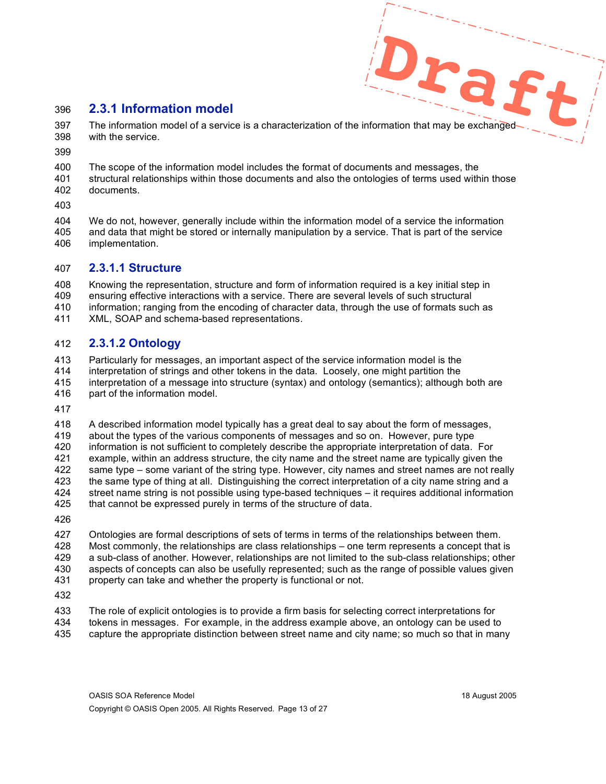## **2.3.1 Information model**

**Draft** 397 The information model of a service is a characterization of the information that may be exchanged-with the service.

 The scope of the information model includes the format of documents and messages, the structural relationships within those documents and also the ontologies of terms used within those documents.

 We do not, however, generally include within the information model of a service the information and data that might be stored or internally manipulation by a service. That is part of the service implementation.

#### **2.3.1.1 Structure**

 Knowing the representation, structure and form of information required is a key initial step in ensuring effective interactions with a service. There are several levels of such structural information; ranging from the encoding of character data, through the use of formats such as

XML, SOAP and schema-based representations.

## **2.3.1.2 Ontology**

Particularly for messages, an important aspect of the service information model is the

- interpretation of strings and other tokens in the data. Loosely, one might partition the
- interpretation of a message into structure (syntax) and ontology (semantics); although both are part of the information model.
- 

 A described information model typically has a great deal to say about the form of messages, about the types of the various components of messages and so on. However, pure type information is not sufficient to completely describe the appropriate interpretation of data. For 421 example, within an address structure, the city name and the street name are typically given the 422 same type – some variant of the string type. However, city names and street names are not rea same type – some variant of the string type. However, city names and street names are not really the same type of thing at all. Distinguishing the correct interpretation of a city name string and a street name string is not possible using type-based techniques – it requires additional information that cannot be expressed purely in terms of the structure of data.

 Ontologies are formal descriptions of sets of terms in terms of the relationships between them. Most commonly, the relationships are class relationships – one term represents a concept that is a sub-class of another. However, relationships are not limited to the sub-class relationships; other aspects of concepts can also be usefully represented; such as the range of possible values given property can take and whether the property is functional or not.

 The role of explicit ontologies is to provide a firm basis for selecting correct interpretations for tokens in messages. For example, in the address example above, an ontology can be used to capture the appropriate distinction between street name and city name; so much so that in many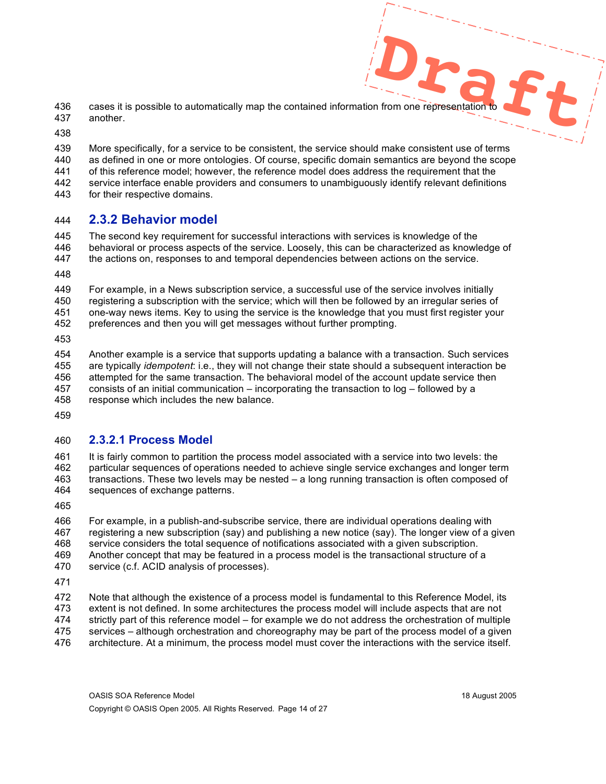- **D D**<br>**C C**<br>**Example 2** 436 cases it is possible to automatically map the contained information from one representation another.
- 

 More specifically, for a service to be consistent, the service should make consistent use of terms as defined in one or more ontologies. Of course, specific domain semantics are beyond the scope

- of this reference model; however, the reference model does address the requirement that the
- service interface enable providers and consumers to unambiguously identify relevant definitions
- for their respective domains.

#### **2.3.2 Behavior model**

- The second key requirement for successful interactions with services is knowledge of the behavioral or process aspects of the service. Loosely, this can be characterized as knowledge of
- the actions on, responses to and temporal dependencies between actions on the service.
- 

 For example, in a News subscription service, a successful use of the service involves initially registering a subscription with the service; which will then be followed by an irregular series of one-way news items. Key to using the service is the knowledge that you must first register your preferences and then you will get messages without further prompting.

 Another example is a service that supports updating a balance with a transaction. Such services are typically *idempotent*: i.e., they will not change their state should a subsequent interaction be attempted for the same transaction. The behavioral model of the account update service then consists of an initial communication – incorporating the transaction to log – followed by a response which includes the new balance.

#### **2.3.2.1 Process Model**

 It is fairly common to partition the process model associated with a service into two levels: the particular sequences of operations needed to achieve single service exchanges and longer term transactions. These two levels may be nested – a long running transaction is often composed of sequences of exchange patterns.

 For example, in a publish-and-subscribe service, there are individual operations dealing with registering a new subscription (say) and publishing a new notice (say). The longer view of a given service considers the total sequence of notifications associated with a given subscription. Another concept that may be featured in a process model is the transactional structure of a service (c.f. ACID analysis of processes).

 Note that although the existence of a process model is fundamental to this Reference Model, its extent is not defined. In some architectures the process model will include aspects that are not strictly part of this reference model – for example we do not address the orchestration of multiple services – although orchestration and choreography may be part of the process model of a given architecture. At a minimum, the process model must cover the interactions with the service itself.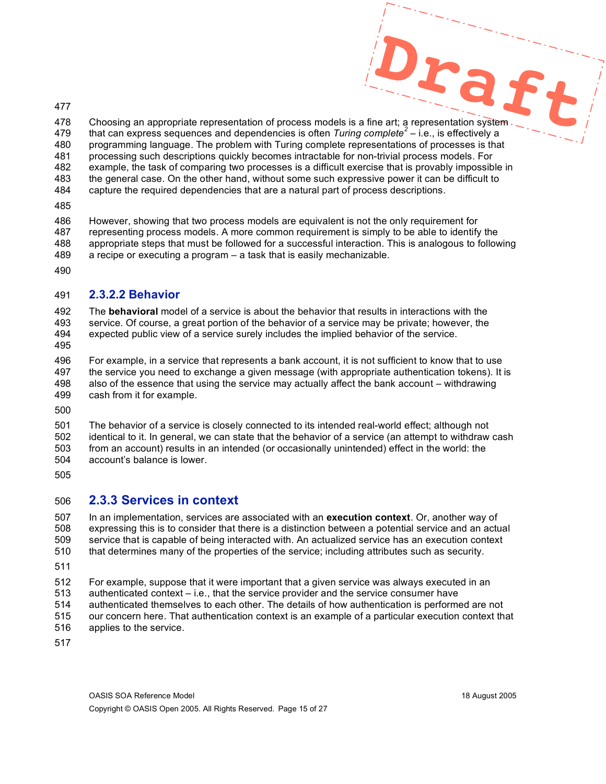**Draft** Choosing an appropriate representation of process models is a fine art; a representation system that can express sequences and dependencies is often *Turing complete<sup>2</sup>* – i.e., is effectively a programming language. The problem with Turing complete representations of processes is that processing such descriptions quickly becomes intractable for non-trivial process models. For example, the task of comparing two processes is a difficult exercise that is provably impossible in the general case. On the other hand, without some such expressive power it can be difficult to

- capture the required dependencies that are a natural part of process descriptions.
- 

 However, showing that two process models are equivalent is not the only requirement for representing process models. A more common requirement is simply to be able to identify the appropriate steps that must be followed for a successful interaction. This is analogous to following a recipe or executing a program – a task that is easily mechanizable.

#### **2.3.2.2 Behavior**

 The **behavioral** model of a service is about the behavior that results in interactions with the service. Of course, a great portion of the behavior of a service may be private; however, the expected public view of a service surely includes the implied behavior of the service.

 For example, in a service that represents a bank account, it is not sufficient to know that to use the service you need to exchange a given message (with appropriate authentication tokens). It is also of the essence that using the service may actually affect the bank account – withdrawing cash from it for example.

 The behavior of a service is closely connected to its intended real-world effect; although not identical to it. In general, we can state that the behavior of a service (an attempt to withdraw cash from an account) results in an intended (or occasionally unintended) effect in the world: the account's balance is lower.

## **2.3.3 Services in context**

 In an implementation, services are associated with an **execution context**. Or, another way of expressing this is to consider that there is a distinction between a potential service and an actual service that is capable of being interacted with. An actualized service has an execution context that determines many of the properties of the service; including attributes such as security.

 For example, suppose that it were important that a given service was always executed in an authenticated context – i.e., that the service provider and the service consumer have authenticated themselves to each other. The details of how authentication is performed are not

- our concern here. That authentication context is an example of a particular execution context that applies to the service.
-